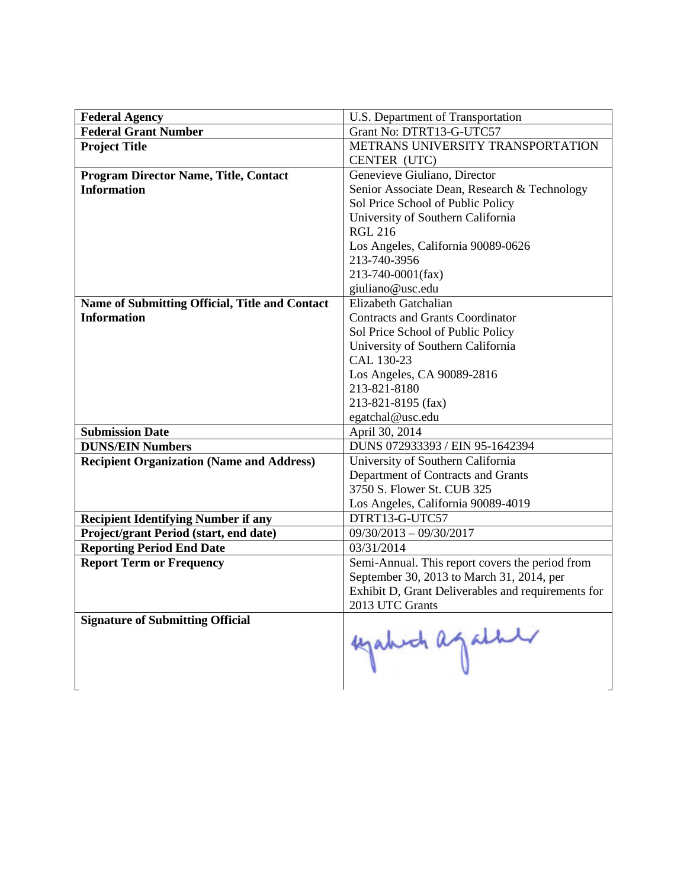| <b>Federal Agency</b>                            | U.S. Department of Transportation                  |
|--------------------------------------------------|----------------------------------------------------|
| <b>Federal Grant Number</b>                      | Grant No: DTRT13-G-UTC57                           |
| <b>Project Title</b>                             | METRANS UNIVERSITY TRANSPORTATION                  |
|                                                  | CENTER (UTC)                                       |
| <b>Program Director Name, Title, Contact</b>     | Genevieve Giuliano, Director                       |
| <b>Information</b>                               | Senior Associate Dean, Research & Technology       |
|                                                  | Sol Price School of Public Policy                  |
|                                                  | University of Southern California                  |
|                                                  | <b>RGL 216</b>                                     |
|                                                  | Los Angeles, California 90089-0626                 |
|                                                  | 213-740-3956                                       |
|                                                  | 213-740-0001(fax)                                  |
|                                                  | giuliano@usc.edu                                   |
| Name of Submitting Official, Title and Contact   | Elizabeth Gatchalian                               |
| <b>Information</b>                               | <b>Contracts and Grants Coordinator</b>            |
|                                                  | Sol Price School of Public Policy                  |
|                                                  | University of Southern California                  |
|                                                  | CAL 130-23                                         |
|                                                  | Los Angeles, CA 90089-2816                         |
|                                                  | 213-821-8180                                       |
|                                                  | 213-821-8195 (fax)                                 |
|                                                  | egatchal@usc.edu                                   |
| <b>Submission Date</b>                           | April 30, 2014                                     |
| <b>DUNS/EIN Numbers</b>                          | DUNS 072933393 / EIN 95-1642394                    |
| <b>Recipient Organization (Name and Address)</b> | University of Southern California                  |
|                                                  | Department of Contracts and Grants                 |
|                                                  | 3750 S. Flower St. CUB 325                         |
|                                                  | Los Angeles, California 90089-4019                 |
| <b>Recipient Identifying Number if any</b>       | DTRT13-G-UTC57                                     |
| Project/grant Period (start, end date)           | $09/30/2013 - 09/30/2017$                          |
| <b>Reporting Period End Date</b>                 | 03/31/2014                                         |
| <b>Report Term or Frequency</b>                  | Semi-Annual. This report covers the period from    |
|                                                  | September 30, 2013 to March 31, 2014, per          |
|                                                  | Exhibit D, Grant Deliverables and requirements for |
|                                                  | 2013 UTC Grants                                    |
| <b>Signature of Submitting Official</b>          | egation against                                    |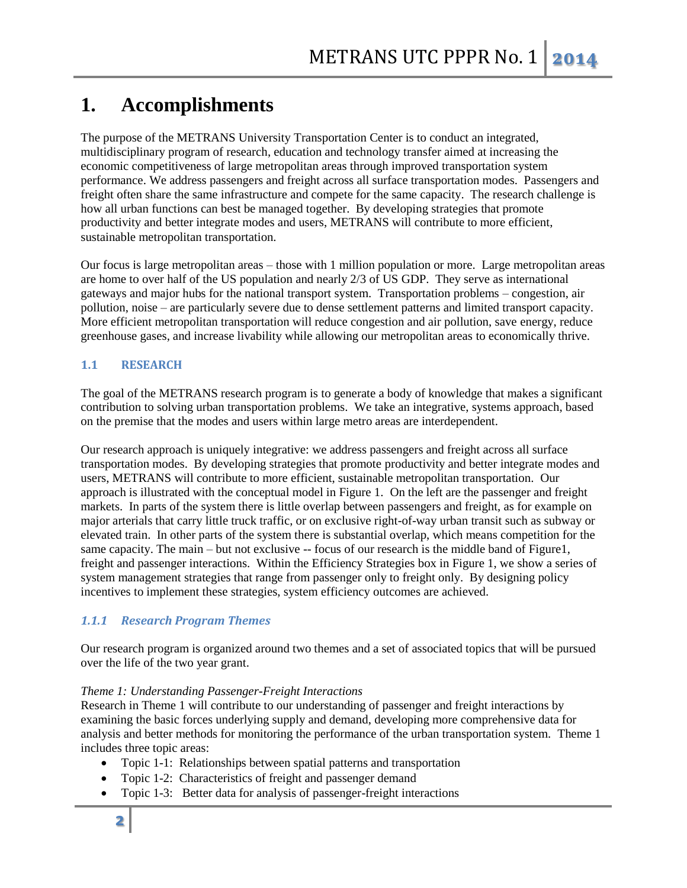# **1. Accomplishments**

The purpose of the METRANS University Transportation Center is to conduct an integrated, multidisciplinary program of research, education and technology transfer aimed at increasing the economic competitiveness of large metropolitan areas through improved transportation system performance. We address passengers and freight across all surface transportation modes. Passengers and freight often share the same infrastructure and compete for the same capacity. The research challenge is how all urban functions can best be managed together. By developing strategies that promote productivity and better integrate modes and users, METRANS will contribute to more efficient, sustainable metropolitan transportation.

Our focus is large metropolitan areas – those with 1 million population or more. Large metropolitan areas are home to over half of the US population and nearly 2/3 of US GDP. They serve as international gateways and major hubs for the national transport system. Transportation problems – congestion, air pollution, noise – are particularly severe due to dense settlement patterns and limited transport capacity. More efficient metropolitan transportation will reduce congestion and air pollution, save energy, reduce greenhouse gases, and increase livability while allowing our metropolitan areas to economically thrive.

# **1.1 RESEARCH**

The goal of the METRANS research program is to generate a body of knowledge that makes a significant contribution to solving urban transportation problems. We take an integrative, systems approach, based on the premise that the modes and users within large metro areas are interdependent.

Our research approach is uniquely integrative: we address passengers and freight across all surface transportation modes. By developing strategies that promote productivity and better integrate modes and users, METRANS will contribute to more efficient, sustainable metropolitan transportation. Our approach is illustrated with the conceptual model in Figure 1. On the left are the passenger and freight markets. In parts of the system there is little overlap between passengers and freight, as for example on major arterials that carry little truck traffic, or on exclusive right-of-way urban transit such as subway or elevated train. In other parts of the system there is substantial overlap, which means competition for the same capacity. The main – but not exclusive -- focus of our research is the middle band of Figure1, freight and passenger interactions. Within the Efficiency Strategies box in Figure 1, we show a series of system management strategies that range from passenger only to freight only. By designing policy incentives to implement these strategies, system efficiency outcomes are achieved.

# *1.1.1 Research Program Themes*

Our research program is organized around two themes and a set of associated topics that will be pursued over the life of the two year grant.

## *Theme 1: Understanding Passenger-Freight Interactions*

Research in Theme 1 will contribute to our understanding of passenger and freight interactions by examining the basic forces underlying supply and demand, developing more comprehensive data for analysis and better methods for monitoring the performance of the urban transportation system. Theme 1 includes three topic areas:

- Topic 1-1: Relationships between spatial patterns and transportation
- Topic 1-2: Characteristics of freight and passenger demand
- Topic 1-3: Better data for analysis of passenger-freight interactions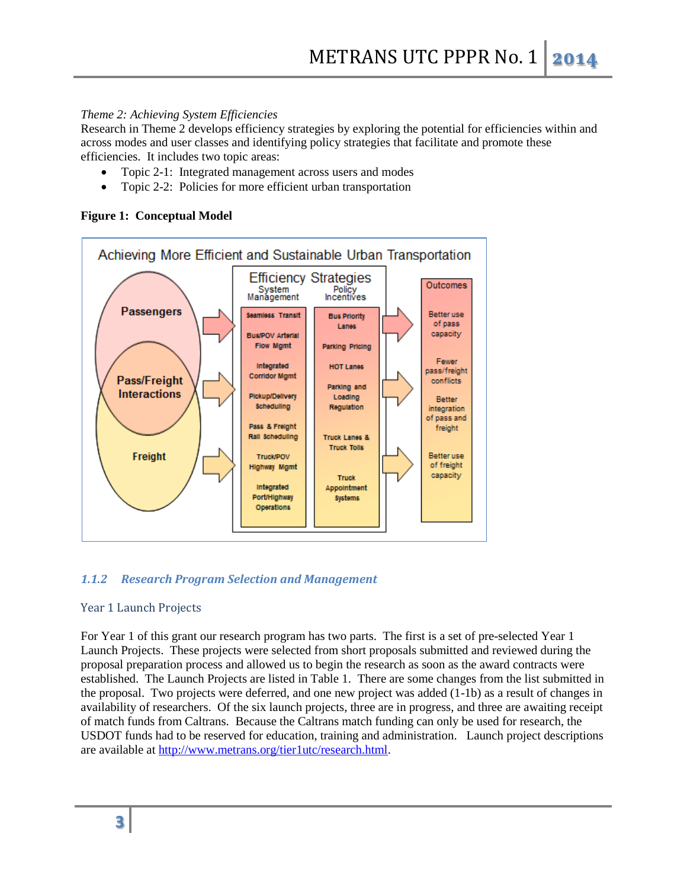## *Theme 2: Achieving System Efficiencies*

Research in Theme 2 develops efficiency strategies by exploring the potential for efficiencies within and across modes and user classes and identifying policy strategies that facilitate and promote these efficiencies. It includes two topic areas:

- Topic 2-1: Integrated management across users and modes
- Topic 2-2: Policies for more efficient urban transportation

## **Figure 1: Conceptual Model**



# *1.1.2 Research Program Selection and Management*

## Year 1 Launch Projects

For Year 1 of this grant our research program has two parts. The first is a set of pre-selected Year 1 Launch Projects. These projects were selected from short proposals submitted and reviewed during the proposal preparation process and allowed us to begin the research as soon as the award contracts were established. The Launch Projects are listed in Table 1. There are some changes from the list submitted in the proposal. Two projects were deferred, and one new project was added (1-1b) as a result of changes in availability of researchers. Of the six launch projects, three are in progress, and three are awaiting receipt of match funds from Caltrans. Because the Caltrans match funding can only be used for research, the USDOT funds had to be reserved for education, training and administration. Launch project descriptions are available at [http://www.metrans.org/tier1utc/research.html.](http://www.metrans.org/tier1utc/research.html)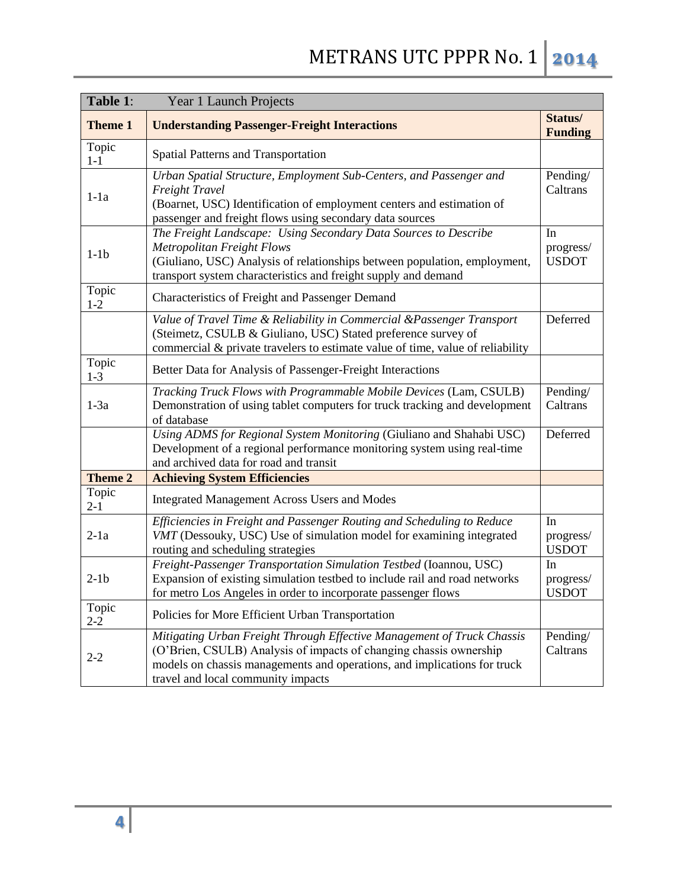| Table 1:         | <b>Year 1 Launch Projects</b>                                                                                                                                                                                                                                  |                                 |
|------------------|----------------------------------------------------------------------------------------------------------------------------------------------------------------------------------------------------------------------------------------------------------------|---------------------------------|
| <b>Theme 1</b>   | <b>Understanding Passenger-Freight Interactions</b>                                                                                                                                                                                                            | Status/<br><b>Funding</b>       |
| Topic<br>$1 - 1$ | <b>Spatial Patterns and Transportation</b>                                                                                                                                                                                                                     |                                 |
| $1-1a$           | Urban Spatial Structure, Employment Sub-Centers, and Passenger and<br>Freight Travel<br>(Boarnet, USC) Identification of employment centers and estimation of<br>passenger and freight flows using secondary data sources                                      | Pending/<br>Caltrans            |
| $1-1b$           | The Freight Landscape: Using Secondary Data Sources to Describe<br><b>Metropolitan Freight Flows</b><br>(Giuliano, USC) Analysis of relationships between population, employment,<br>transport system characteristics and freight supply and demand            | In<br>progress/<br><b>USDOT</b> |
| Topic<br>$1 - 2$ | Characteristics of Freight and Passenger Demand                                                                                                                                                                                                                |                                 |
|                  | Value of Travel Time & Reliability in Commercial &Passenger Transport<br>(Steimetz, CSULB & Giuliano, USC) Stated preference survey of<br>commercial & private travelers to estimate value of time, value of reliability                                       | Deferred                        |
| Topic<br>$1 - 3$ | Better Data for Analysis of Passenger-Freight Interactions                                                                                                                                                                                                     |                                 |
| $1-3a$           | Tracking Truck Flows with Programmable Mobile Devices (Lam, CSULB)<br>Demonstration of using tablet computers for truck tracking and development<br>of database                                                                                                | Pending/<br>Caltrans            |
|                  | Using ADMS for Regional System Monitoring (Giuliano and Shahabi USC)<br>Development of a regional performance monitoring system using real-time<br>and archived data for road and transit                                                                      | Deferred                        |
| <b>Theme 2</b>   | <b>Achieving System Efficiencies</b>                                                                                                                                                                                                                           |                                 |
| Topic<br>$2 - 1$ | <b>Integrated Management Across Users and Modes</b>                                                                                                                                                                                                            |                                 |
| $2-1a$           | Efficiencies in Freight and Passenger Routing and Scheduling to Reduce<br>VMT (Dessouky, USC) Use of simulation model for examining integrated<br>routing and scheduling strategies                                                                            | In<br>progress/<br><b>USDOT</b> |
| $2-1b$           | Freight-Passenger Transportation Simulation Testbed (Ioannou, USC)<br>Expansion of existing simulation testbed to include rail and road networks<br>for metro Los Angeles in order to incorporate passenger flows                                              | In<br>progress/<br><b>USDOT</b> |
| Topic<br>$2 - 2$ | Policies for More Efficient Urban Transportation                                                                                                                                                                                                               |                                 |
| $2 - 2$          | Mitigating Urban Freight Through Effective Management of Truck Chassis<br>(O'Brien, CSULB) Analysis of impacts of changing chassis ownership<br>models on chassis managements and operations, and implications for truck<br>travel and local community impacts | Pending/<br>Caltrans            |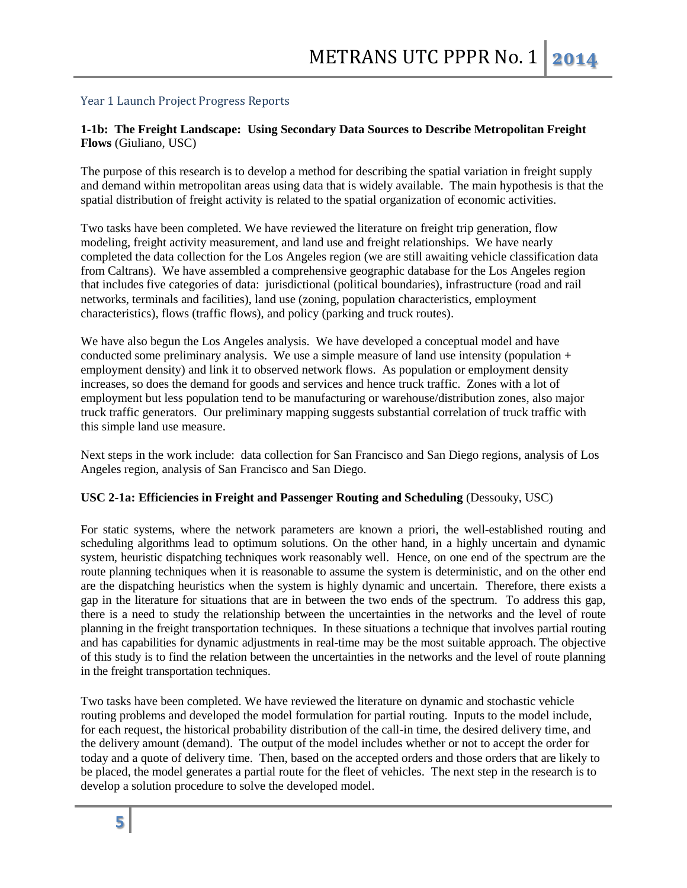#### Year 1 Launch Project Progress Reports

## **1-1b: The Freight Landscape: Using Secondary Data Sources to Describe Metropolitan Freight Flows** (Giuliano, USC)

The purpose of this research is to develop a method for describing the spatial variation in freight supply and demand within metropolitan areas using data that is widely available. The main hypothesis is that the spatial distribution of freight activity is related to the spatial organization of economic activities.

Two tasks have been completed. We have reviewed the literature on freight trip generation, flow modeling, freight activity measurement, and land use and freight relationships. We have nearly completed the data collection for the Los Angeles region (we are still awaiting vehicle classification data from Caltrans). We have assembled a comprehensive geographic database for the Los Angeles region that includes five categories of data: jurisdictional (political boundaries), infrastructure (road and rail networks, terminals and facilities), land use (zoning, population characteristics, employment characteristics), flows (traffic flows), and policy (parking and truck routes).

We have also begun the Los Angeles analysis. We have developed a conceptual model and have conducted some preliminary analysis. We use a simple measure of land use intensity (population + employment density) and link it to observed network flows. As population or employment density increases, so does the demand for goods and services and hence truck traffic. Zones with a lot of employment but less population tend to be manufacturing or warehouse/distribution zones, also major truck traffic generators. Our preliminary mapping suggests substantial correlation of truck traffic with this simple land use measure.

Next steps in the work include: data collection for San Francisco and San Diego regions, analysis of Los Angeles region, analysis of San Francisco and San Diego.

#### **USC 2-1a: Efficiencies in Freight and Passenger Routing and Scheduling** (Dessouky, USC)

For static systems, where the network parameters are known a priori, the well-established routing and scheduling algorithms lead to optimum solutions. On the other hand, in a highly uncertain and dynamic system, heuristic dispatching techniques work reasonably well. Hence, on one end of the spectrum are the route planning techniques when it is reasonable to assume the system is deterministic, and on the other end are the dispatching heuristics when the system is highly dynamic and uncertain. Therefore, there exists a gap in the literature for situations that are in between the two ends of the spectrum. To address this gap, there is a need to study the relationship between the uncertainties in the networks and the level of route planning in the freight transportation techniques. In these situations a technique that involves partial routing and has capabilities for dynamic adjustments in real-time may be the most suitable approach. The objective of this study is to find the relation between the uncertainties in the networks and the level of route planning in the freight transportation techniques.

Two tasks have been completed. We have reviewed the literature on dynamic and stochastic vehicle routing problems and developed the model formulation for partial routing. Inputs to the model include, for each request, the historical probability distribution of the call-in time, the desired delivery time, and the delivery amount (demand). The output of the model includes whether or not to accept the order for today and a quote of delivery time. Then, based on the accepted orders and those orders that are likely to be placed, the model generates a partial route for the fleet of vehicles. The next step in the research is to develop a solution procedure to solve the developed model.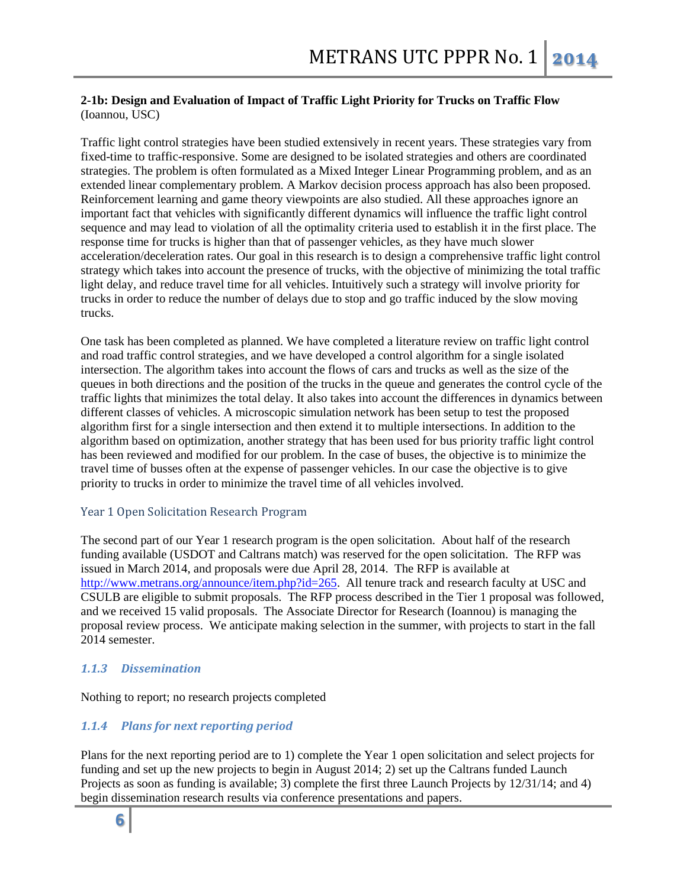## **2-1b: Design and Evaluation of Impact of Traffic Light Priority for Trucks on Traffic Flow** (Ioannou, USC)

Traffic light control strategies have been studied extensively in recent years. These strategies vary from fixed-time to traffic-responsive. Some are designed to be isolated strategies and others are coordinated strategies. The problem is often formulated as a Mixed Integer Linear Programming problem, and as an extended linear complementary problem. A Markov decision process approach has also been proposed. Reinforcement learning and game theory viewpoints are also studied. All these approaches ignore an important fact that vehicles with significantly different dynamics will influence the traffic light control sequence and may lead to violation of all the optimality criteria used to establish it in the first place. The response time for trucks is higher than that of passenger vehicles, as they have much slower acceleration/deceleration rates. Our goal in this research is to design a comprehensive traffic light control strategy which takes into account the presence of trucks, with the objective of minimizing the total traffic light delay, and reduce travel time for all vehicles. Intuitively such a strategy will involve priority for trucks in order to reduce the number of delays due to stop and go traffic induced by the slow moving trucks.

One task has been completed as planned. We have completed a literature review on traffic light control and road traffic control strategies, and we have developed a control algorithm for a single isolated intersection. The algorithm takes into account the flows of cars and trucks as well as the size of the queues in both directions and the position of the trucks in the queue and generates the control cycle of the traffic lights that minimizes the total delay. It also takes into account the differences in dynamics between different classes of vehicles. A microscopic simulation network has been setup to test the proposed algorithm first for a single intersection and then extend it to multiple intersections. In addition to the algorithm based on optimization, another strategy that has been used for bus priority traffic light control has been reviewed and modified for our problem. In the case of buses, the objective is to minimize the travel time of busses often at the expense of passenger vehicles. In our case the objective is to give priority to trucks in order to minimize the travel time of all vehicles involved.

## Year 1 Open Solicitation Research Program

The second part of our Year 1 research program is the open solicitation. About half of the research funding available (USDOT and Caltrans match) was reserved for the open solicitation. The RFP was issued in March 2014, and proposals were due April 28, 2014. The RFP is available at [http://www.metrans.org/announce/item.php?id=265.](http://www.metrans.org/announce/item.php?id=265) All tenure track and research faculty at USC and CSULB are eligible to submit proposals. The RFP process described in the Tier 1 proposal was followed, and we received 15 valid proposals. The Associate Director for Research (Ioannou) is managing the proposal review process. We anticipate making selection in the summer, with projects to start in the fall 2014 semester.

## *1.1.3 Dissemination*

Nothing to report; no research projects completed

# *1.1.4 Plans for next reporting period*

Plans for the next reporting period are to 1) complete the Year 1 open solicitation and select projects for funding and set up the new projects to begin in August 2014; 2) set up the Caltrans funded Launch Projects as soon as funding is available; 3) complete the first three Launch Projects by 12/31/14; and 4) begin dissemination research results via conference presentations and papers.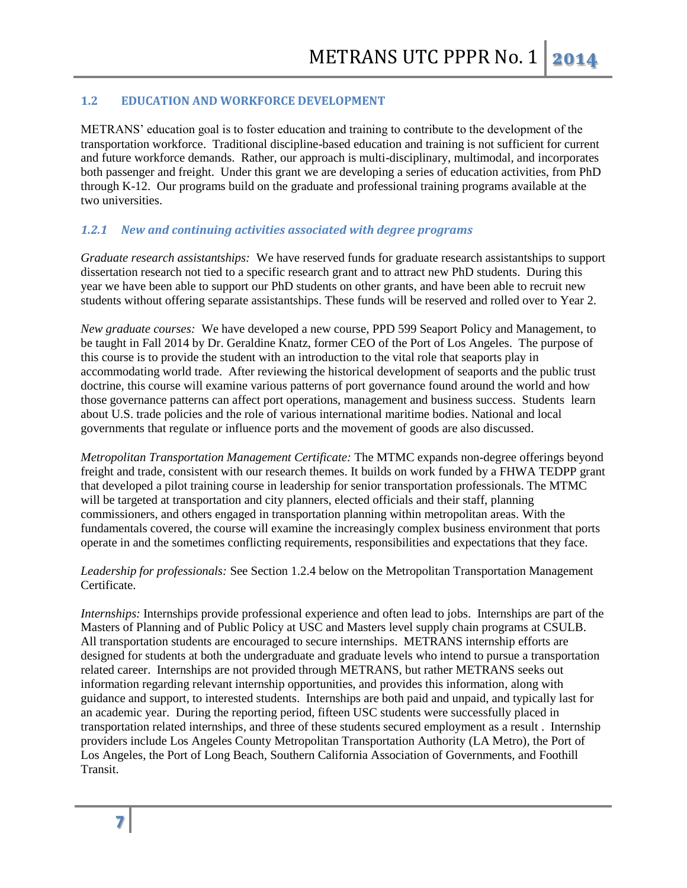## **1.2 EDUCATION AND WORKFORCE DEVELOPMENT**

METRANS' education goal is to foster education and training to contribute to the development of the transportation workforce. Traditional discipline-based education and training is not sufficient for current and future workforce demands. Rather, our approach is multi-disciplinary, multimodal, and incorporates both passenger and freight. Under this grant we are developing a series of education activities, from PhD through K-12. Our programs build on the graduate and professional training programs available at the two universities.

## *1.2.1 New and continuing activities associated with degree programs*

*Graduate research assistantships:* We have reserved funds for graduate research assistantships to support dissertation research not tied to a specific research grant and to attract new PhD students. During this year we have been able to support our PhD students on other grants, and have been able to recruit new students without offering separate assistantships. These funds will be reserved and rolled over to Year 2.

*New graduate courses:* We have developed a new course, PPD 599 Seaport Policy and Management, to be taught in Fall 2014 by Dr. Geraldine Knatz, former CEO of the Port of Los Angeles. The purpose of this course is to provide the student with an introduction to the vital role that seaports play in accommodating world trade. After reviewing the historical development of seaports and the public trust doctrine, this course will examine various patterns of port governance found around the world and how those governance patterns can affect port operations, management and business success. Students learn about U.S. trade policies and the role of various international maritime bodies. National and local governments that regulate or influence ports and the movement of goods are also discussed.

*Metropolitan Transportation Management Certificate:* The MTMC expands non-degree offerings beyond freight and trade, consistent with our research themes. It builds on work funded by a FHWA TEDPP grant that developed a pilot training course in leadership for senior transportation professionals. The MTMC will be targeted at transportation and city planners, elected officials and their staff, planning commissioners, and others engaged in transportation planning within metropolitan areas. With the fundamentals covered, the course will examine the increasingly complex business environment that ports operate in and the sometimes conflicting requirements, responsibilities and expectations that they face.

*Leadership for professionals:* See Section 1.2.4 below on the Metropolitan Transportation Management Certificate.

*Internships:* Internships provide professional experience and often lead to jobs. Internships are part of the Masters of Planning and of Public Policy at USC and Masters level supply chain programs at CSULB. All transportation students are encouraged to secure internships. METRANS internship efforts are designed for students at both the undergraduate and graduate levels who intend to pursue a transportation related career. Internships are not provided through METRANS, but rather METRANS seeks out information regarding relevant internship opportunities, and provides this information, along with guidance and support, to interested students. Internships are both paid and unpaid, and typically last for an academic year. During the reporting period, fifteen USC students were successfully placed in transportation related internships, and three of these students secured employment as a result . Internship providers include Los Angeles County Metropolitan Transportation Authority (LA Metro), the Port of Los Angeles, the Port of Long Beach, Southern California Association of Governments, and Foothill Transit.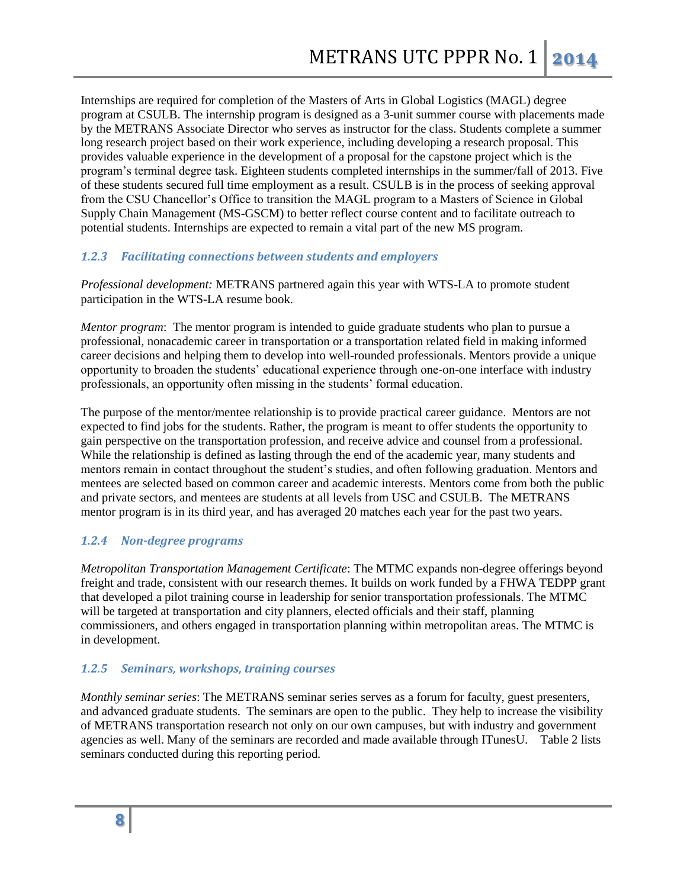Internships are required for completion of the Masters of Arts in Global Logistics (MAGL) degree program at CSULB. The internship program is designed as a 3-unit summer course with placements made by the METRANS Associate Director who serves as instructor for the class. Students complete a summer long research project based on their work experience, including developing a research proposal. This provides valuable experience in the development of a proposal for the capstone project which is the program's terminal degree task. Eighteen students completed internships in the summer/fall of 2013. Five of these students secured full time employment as a result. CSULB is in the process of seeking approval from the CSU Chancellor's Office to transition the MAGL program to a Masters of Science in Global Supply Chain Management (MS-GSCM) to better reflect course content and to facilitate outreach to potential students. Internships are expected to remain a vital part of the new MS program.

## *1.2.3 Facilitating connections between students and employers*

*Professional development:* METRANS partnered again this year with WTS-LA to promote student participation in the WTS-LA resume book.

*Mentor program*: The mentor program is intended to guide graduate students who plan to pursue a professional, nonacademic career in transportation or a transportation related field in making informed career decisions and helping them to develop into well-rounded professionals. Mentors provide a unique opportunity to broaden the students' educational experience through one-on-one interface with industry professionals, an opportunity often missing in the students' formal education.

The purpose of the mentor/mentee relationship is to provide practical career guidance. Mentors are not expected to find jobs for the students. Rather, the program is meant to offer students the opportunity to gain perspective on the transportation profession, and receive advice and counsel from a professional. While the relationship is defined as lasting through the end of the academic year, many students and mentors remain in contact throughout the student's studies, and often following graduation. Mentors and mentees are selected based on common career and academic interests. Mentors come from both the public and private sectors, and mentees are students at all levels from USC and CSULB. The METRANS mentor program is in its third year, and has averaged 20 matches each year for the past two years.

## *1.2.4 Non-degree programs*

*Metropolitan Transportation Management Certificate*: The MTMC expands non-degree offerings beyond freight and trade, consistent with our research themes. It builds on work funded by a FHWA TEDPP grant that developed a pilot training course in leadership for senior transportation professionals. The MTMC will be targeted at transportation and city planners, elected officials and their staff, planning commissioners, and others engaged in transportation planning within metropolitan areas. The MTMC is in development.

## *1.2.5 Seminars, workshops, training courses*

*Monthly seminar series*: The METRANS seminar series serves as a forum for faculty, guest presenters, and advanced graduate students. The seminars are open to the public. They help to increase the visibility of METRANS transportation research not only on our own campuses, but with industry and government agencies as well. Many of the seminars are recorded and made available through ITunesU. Table 2 lists seminars conducted during this reporting period.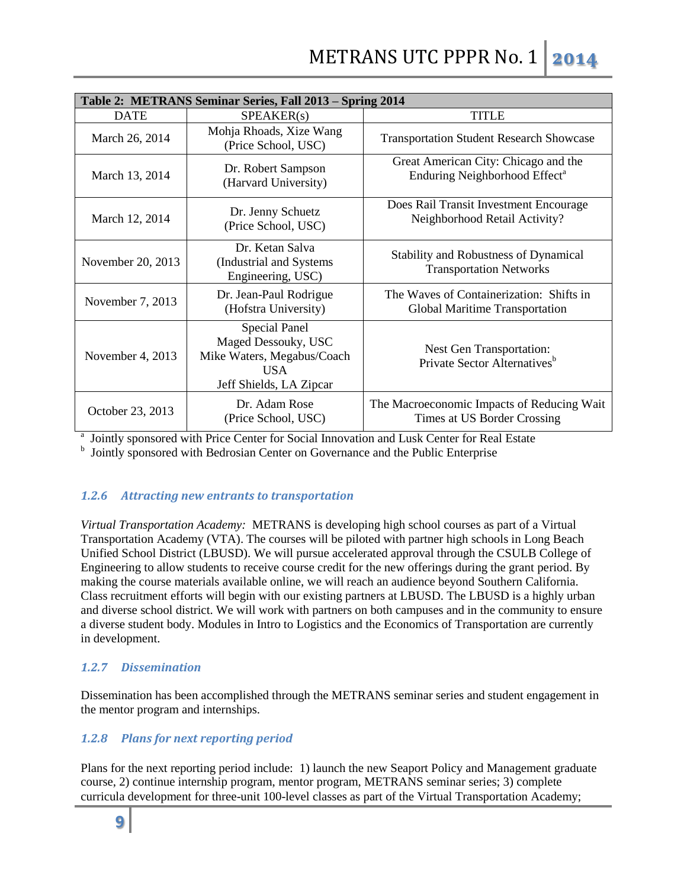| Table 2: METRANS Seminar Series, Fall 2013 – Spring 2014                                                                         |                                                                  |                                                                                   |  |  |  |
|----------------------------------------------------------------------------------------------------------------------------------|------------------------------------------------------------------|-----------------------------------------------------------------------------------|--|--|--|
| <b>DATE</b>                                                                                                                      | SPEAKER(s)                                                       | <b>TITLE</b>                                                                      |  |  |  |
| March 26, 2014                                                                                                                   | Mohja Rhoads, Xize Wang<br>(Price School, USC)                   | <b>Transportation Student Research Showcase</b>                                   |  |  |  |
| March 13, 2014                                                                                                                   | Dr. Robert Sampson<br>(Harvard University)                       | Great American City: Chicago and the<br>Enduring Neighborhood Effect <sup>a</sup> |  |  |  |
| March 12, 2014                                                                                                                   | Dr. Jenny Schuetz<br>(Price School, USC)                         | Does Rail Transit Investment Encourage<br>Neighborhood Retail Activity?           |  |  |  |
| November 20, 2013                                                                                                                | Dr. Ketan Salva<br>(Industrial and Systems)<br>Engineering, USC) | <b>Stability and Robustness of Dynamical</b><br><b>Transportation Networks</b>    |  |  |  |
| November 7, 2013                                                                                                                 | Dr. Jean-Paul Rodrigue<br>(Hofstra University)                   | The Waves of Containerization: Shifts in<br>Global Maritime Transportation        |  |  |  |
| <b>Special Panel</b><br>Maged Dessouky, USC<br>Mike Waters, Megabus/Coach<br>November 4, 2013<br>USA.<br>Jeff Shields, LA Zipcar |                                                                  | Nest Gen Transportation:<br>Private Sector Alternatives <sup>b</sup>              |  |  |  |
| October 23, 2013                                                                                                                 | Dr. Adam Rose<br>(Price School, USC)                             | The Macroeconomic Impacts of Reducing Wait<br>Times at US Border Crossing         |  |  |  |

<sup>a</sup> Jointly sponsored with Price Center for Social Innovation and Lusk Center for Real Estate

<sup>b</sup> Jointly sponsored with Bedrosian Center on Governance and the Public Enterprise

# *1.2.6 Attracting new entrants to transportation*

*Virtual Transportation Academy:* METRANS is developing high school courses as part of a Virtual Transportation Academy (VTA). The courses will be piloted with partner high schools in Long Beach Unified School District (LBUSD). We will pursue accelerated approval through the CSULB College of Engineering to allow students to receive course credit for the new offerings during the grant period. By making the course materials available online, we will reach an audience beyond Southern California. Class recruitment efforts will begin with our existing partners at LBUSD. The LBUSD is a highly urban and diverse school district. We will work with partners on both campuses and in the community to ensure a diverse student body. Modules in Intro to Logistics and the Economics of Transportation are currently in development.

# *1.2.7 Dissemination*

Dissemination has been accomplished through the METRANS seminar series and student engagement in the mentor program and internships.

## *1.2.8 Plans for next reporting period*

Plans for the next reporting period include: 1) launch the new Seaport Policy and Management graduate course, 2) continue internship program, mentor program, METRANS seminar series; 3) complete curricula development for three-unit 100-level classes as part of the Virtual Transportation Academy;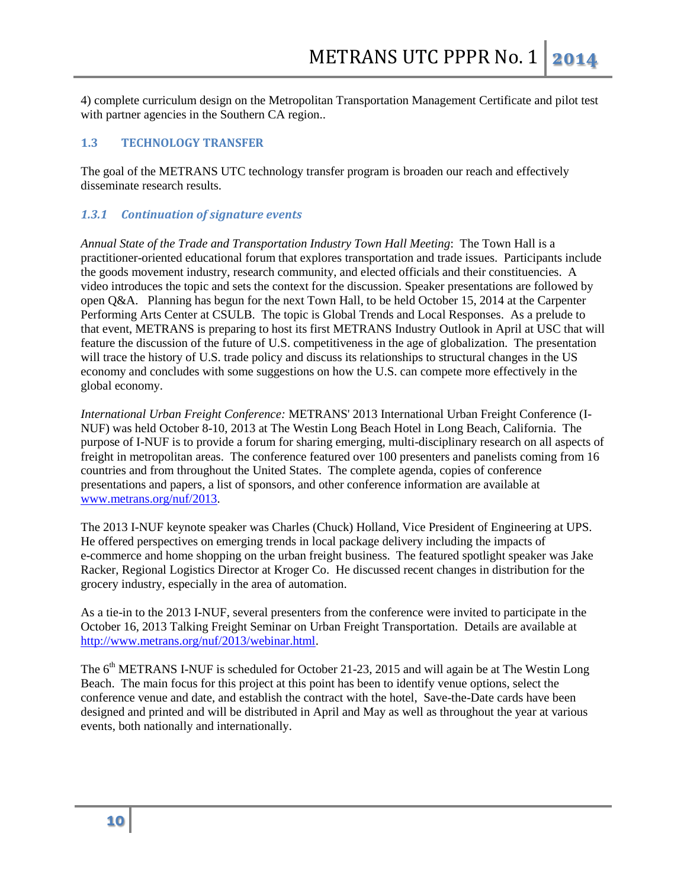4) complete curriculum design on the Metropolitan Transportation Management Certificate and pilot test with partner agencies in the Southern CA region..

#### **1.3 TECHNOLOGY TRANSFER**

The goal of the METRANS UTC technology transfer program is broaden our reach and effectively disseminate research results.

#### *1.3.1 Continuation of signature events*

*Annual State of the Trade and Transportation Industry Town Hall Meeting*: The Town Hall is a practitioner-oriented educational forum that explores transportation and trade issues. Participants include the goods movement industry, research community, and elected officials and their constituencies. A video introduces the topic and sets the context for the discussion. Speaker presentations are followed by open Q&A. Planning has begun for the next Town Hall, to be held October 15, 2014 at the Carpenter Performing Arts Center at CSULB. The topic is Global Trends and Local Responses. As a prelude to that event, METRANS is preparing to host its first METRANS Industry Outlook in April at USC that will feature the discussion of the future of U.S. competitiveness in the age of globalization. The presentation will trace the history of U.S. trade policy and discuss its relationships to structural changes in the US economy and concludes with some suggestions on how the U.S. can compete more effectively in the global economy.

*International Urban Freight Conference:* METRANS' 2013 International Urban Freight Conference (I-NUF) was held October 8-10, 2013 at The Westin Long Beach Hotel in Long Beach, California. The purpose of I-NUF is to provide a forum for sharing emerging, multi-disciplinary research on all aspects of freight in metropolitan areas. The conference featured over 100 presenters and panelists coming from 16 countries and from throughout the United States. The complete agenda, copies of conference presentations and papers, a list of sponsors, and other conference information are available at [www.metrans.org/nuf/2013.](http://www.metrans.org/nuf/2013)

The 2013 I-NUF keynote speaker was Charles (Chuck) Holland, Vice President of Engineering at UPS. He offered perspectives on emerging trends in local package delivery including the impacts of e-commerce and home shopping on the urban freight business. The featured spotlight speaker was Jake Racker, Regional Logistics Director at Kroger Co. He discussed recent changes in distribution for the grocery industry, especially in the area of automation.

As a tie-in to the 2013 I-NUF, several presenters from the conference were invited to participate in the October 16, 2013 Talking Freight Seminar on Urban Freight Transportation. Details are available at [http://www.metrans.org/nuf/2013/webinar.html.](http://www.metrans.org/nuf/2013/webinar.html)

The 6<sup>th</sup> METRANS I-NUF is scheduled for October 21-23, 2015 and will again be at The Westin Long Beach. The main focus for this project at this point has been to identify venue options, select the conference venue and date, and establish the contract with the hotel, Save-the-Date cards have been designed and printed and will be distributed in April and May as well as throughout the year at various events, both nationally and internationally.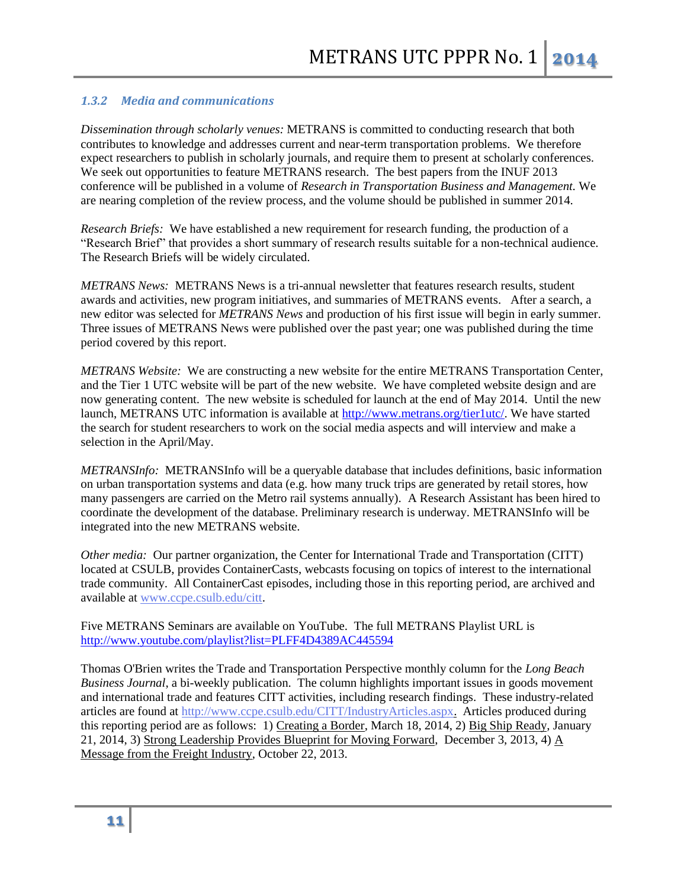## *1.3.2 Media and communications*

*Dissemination through scholarly venues:* METRANS is committed to conducting research that both contributes to knowledge and addresses current and near-term transportation problems. We therefore expect researchers to publish in scholarly journals, and require them to present at scholarly conferences. We seek out opportunities to feature METRANS research. The best papers from the INUF 2013 conference will be published in a volume of *Research in Transportation Business and Management.* We are nearing completion of the review process, and the volume should be published in summer 2014.

*Research Briefs:* We have established a new requirement for research funding, the production of a "Research Brief" that provides a short summary of research results suitable for a non-technical audience. The Research Briefs will be widely circulated.

*METRANS News:* METRANS News is a tri-annual newsletter that features research results, student awards and activities, new program initiatives, and summaries of METRANS events. After a search, a new editor was selected for *METRANS News* and production of his first issue will begin in early summer. Three issues of METRANS News were published over the past year; one was published during the time period covered by this report.

*METRANS Website:* We are constructing a new website for the entire METRANS Transportation Center, and the Tier 1 UTC website will be part of the new website. We have completed website design and are now generating content. The new website is scheduled for launch at the end of May 2014. Until the new launch, METRANS UTC information is available at [http://www.metrans.org/tier1utc/.](http://www.metrans.org/tier1utc/) We have started the search for student researchers to work on the social media aspects and will interview and make a selection in the April/May.

*METRANSInfo:* METRANSInfo will be a queryable database that includes definitions, basic information on urban transportation systems and data (e.g. how many truck trips are generated by retail stores, how many passengers are carried on the Metro rail systems annually). A Research Assistant has been hired to coordinate the development of the database. Preliminary research is underway. METRANSInfo will be integrated into the new METRANS website.

*Other media:* Our partner organization, the Center for International Trade and Transportation (CITT) located at CSULB, provides ContainerCasts, webcasts focusing on topics of interest to the international trade community. All ContainerCast episodes, including those in this reporting period, are archived and available at [www.ccpe.csulb.edu/citt.](http://www.ccpe.csulb.edu/citt)

Five METRANS Seminars are available on YouTube. The full METRANS Playlist URL is <http://www.youtube.com/playlist?list=PLFF4D4389AC445594>

Thomas O'Brien writes the Trade and Transportation Perspective monthly column for the *Long Beach Business Journal*, a bi-weekly publication. The column highlights important issues in goods movement and international trade and features CITT activities, including research findings. These industry-related articles are found at [http://www.ccpe.csulb.edu/CITT/IndustryArticles.aspx.](http://www.ccpe.csulb.edu/CITT/IndustryArticles.aspx) Articles produced during this reporting period are as follows: 1) Creating a Border, March 18, 2014, 2) Big Ship Ready, January 21, 2014, 3) Strong Leadership Provides Blueprint for Moving Forward, December 3, 2013, 4) A Message from the Freight Industry, October 22, 2013.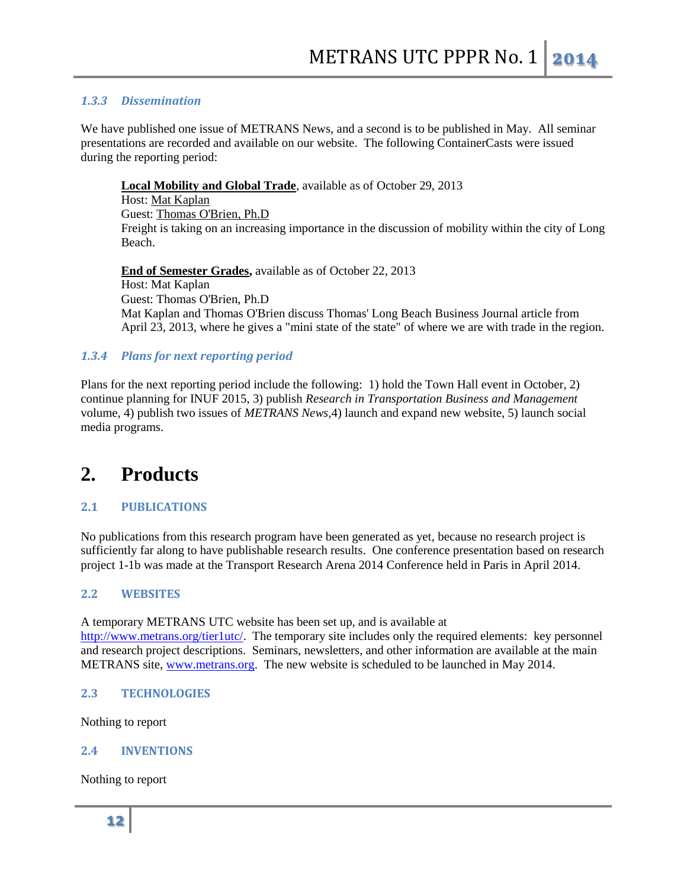## *1.3.3 Dissemination*

We have published one issue of METRANS News, and a second is to be published in May. All seminar presentations are recorded and available on our website. The following ContainerCasts were issued during the reporting period:

**[Local Mobility and Global Trade](http://www.ccpe.csulb.edu/TheManifest/ContainerCast.aspx?PostNum=42)**, available as of October 29, 2013

Host: [Mat Kaplan](http://www.ccpe.csulb.edu/TheManifest/podcast/containercast.aspx?aID=6) Guest: [Thomas O'Brien, Ph.D](http://www.ccpe.csulb.edu/TheManifest/podcast/containercast.aspx?aID=1) Freight is taking on an increasing importance in the discussion of mobility within the city of Long Beach.

**End of Semester Grades,** available as of October 22, 2013 Host: Mat Kaplan Guest: Thomas O'Brien, Ph.D Mat Kaplan and Thomas O'Brien discuss Thomas' Long Beach Business Journal article from April 23, 2013, where he gives a "mini state of the state" of where we are with trade in the region.

## *1.3.4 Plans for next reporting period*

Plans for the next reporting period include the following: 1) hold the Town Hall event in October, 2) continue planning for INUF 2015, 3) publish *Research in Transportation Business and Management*  volume, 4) publish two issues of *METRANS News,*4) launch and expand new website, 5) launch social media programs.

# **2. Products**

# **2.1 PUBLICATIONS**

No publications from this research program have been generated as yet, because no research project is sufficiently far along to have publishable research results. One conference presentation based on research project 1-1b was made at the Transport Research Arena 2014 Conference held in Paris in April 2014.

## **2.2 WEBSITES**

A temporary METRANS UTC website has been set up, and is available at [http://www.metrans.org/tier1utc/.](http://www.metrans.org/tier1utc/) The temporary site includes only the required elements: key personnel and research project descriptions. Seminars, newsletters, and other information are available at the main METRANS site, [www.metrans.org.](http://www.metrans.org/) The new website is scheduled to be launched in May 2014.

## **2.3 TECHNOLOGIES**

Nothing to report

## **2.4 INVENTIONS**

Nothing to report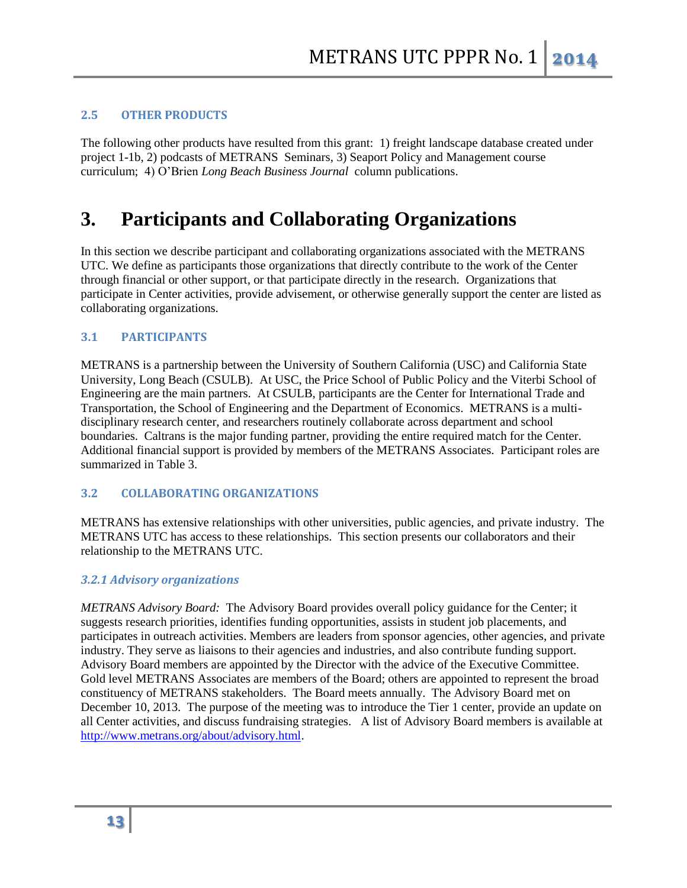## **2.5 OTHER PRODUCTS**

The following other products have resulted from this grant: 1) freight landscape database created under project 1-1b, 2) podcasts of METRANS Seminars, 3) Seaport Policy and Management course curriculum; 4) O'Brien *Long Beach Business Journal* column publications.

# **3. Participants and Collaborating Organizations**

In this section we describe participant and collaborating organizations associated with the METRANS UTC. We define as participants those organizations that directly contribute to the work of the Center through financial or other support, or that participate directly in the research. Organizations that participate in Center activities, provide advisement, or otherwise generally support the center are listed as collaborating organizations.

## **3.1 PARTICIPANTS**

METRANS is a partnership between the University of Southern California (USC) and California State University, Long Beach (CSULB). At USC, the Price School of Public Policy and the Viterbi School of Engineering are the main partners. At CSULB, participants are the Center for International Trade and Transportation, the School of Engineering and the Department of Economics. METRANS is a multidisciplinary research center, and researchers routinely collaborate across department and school boundaries. Caltrans is the major funding partner, providing the entire required match for the Center. Additional financial support is provided by members of the METRANS Associates. Participant roles are summarized in Table 3.

## **3.2 COLLABORATING ORGANIZATIONS**

METRANS has extensive relationships with other universities, public agencies, and private industry. The METRANS UTC has access to these relationships. This section presents our collaborators and their relationship to the METRANS UTC.

#### *3.2.1 Advisory organizations*

*METRANS Advisory Board:* The Advisory Board provides overall policy guidance for the Center; it suggests research priorities, identifies funding opportunities, assists in student job placements, and participates in outreach activities. Members are leaders from sponsor agencies, other agencies, and private industry. They serve as liaisons to their agencies and industries, and also contribute funding support. Advisory Board members are appointed by the Director with the advice of the Executive Committee. Gold level METRANS Associates are members of the Board; others are appointed to represent the broad constituency of METRANS stakeholders. The Board meets annually. The Advisory Board met on December 10, 2013. The purpose of the meeting was to introduce the Tier 1 center, provide an update on all Center activities, and discuss fundraising strategies. A list of Advisory Board members is available at [http://www.metrans.org/about/advisory.html.](http://www.metrans.org/about/advisory.html)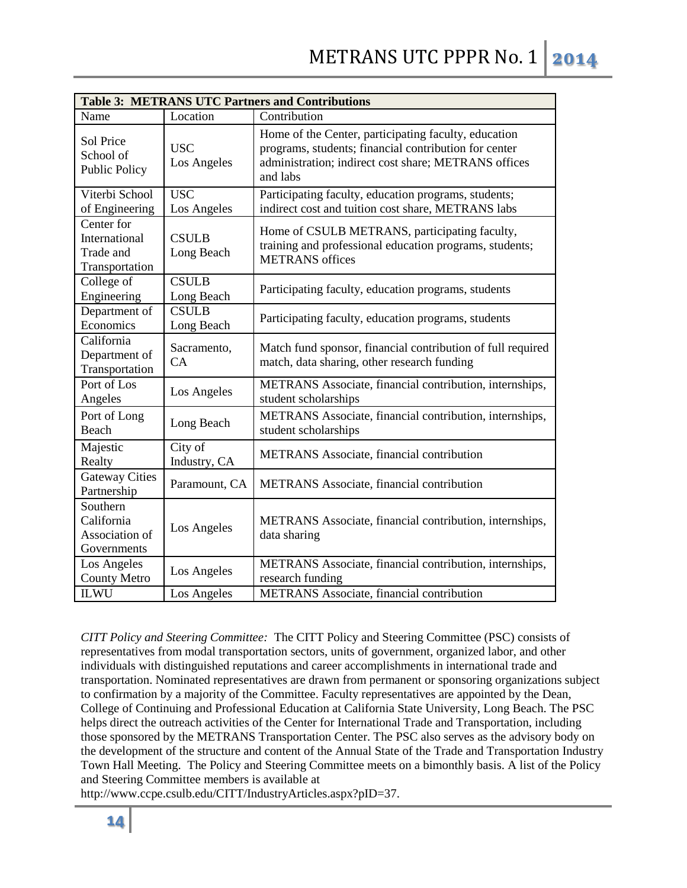| <b>Table 3: METRANS UTC Partners and Contributions</b>     |                            |                                                                                                                                                                                   |  |  |  |
|------------------------------------------------------------|----------------------------|-----------------------------------------------------------------------------------------------------------------------------------------------------------------------------------|--|--|--|
| Name                                                       | Location                   | Contribution                                                                                                                                                                      |  |  |  |
| Sol Price<br>School of<br><b>Public Policy</b>             | <b>USC</b><br>Los Angeles  | Home of the Center, participating faculty, education<br>programs, students; financial contribution for center<br>administration; indirect cost share; METRANS offices<br>and labs |  |  |  |
| Viterbi School<br>of Engineering                           | <b>USC</b><br>Los Angeles  | Participating faculty, education programs, students;<br>indirect cost and tuition cost share, METRANS labs                                                                        |  |  |  |
| Center for<br>International<br>Trade and<br>Transportation | <b>CSULB</b><br>Long Beach | Home of CSULB METRANS, participating faculty,<br>training and professional education programs, students;<br><b>METRANS</b> offices                                                |  |  |  |
| College of<br>Engineering                                  | <b>CSULB</b><br>Long Beach | Participating faculty, education programs, students                                                                                                                               |  |  |  |
| Department of<br>Economics                                 | <b>CSULB</b><br>Long Beach | Participating faculty, education programs, students                                                                                                                               |  |  |  |
| California<br>Department of<br>Transportation              | Sacramento,<br>CA          | Match fund sponsor, financial contribution of full required<br>match, data sharing, other research funding                                                                        |  |  |  |
| Port of Los<br>Angeles                                     | Los Angeles                | METRANS Associate, financial contribution, internships,<br>student scholarships                                                                                                   |  |  |  |
| Port of Long<br>Beach                                      | Long Beach                 | METRANS Associate, financial contribution, internships,<br>student scholarships                                                                                                   |  |  |  |
| Majestic<br>Realty                                         | City of<br>Industry, CA    | METRANS Associate, financial contribution                                                                                                                                         |  |  |  |
| <b>Gateway Cities</b><br>Partnership                       | Paramount, CA              | <b>METRANS</b> Associate, financial contribution                                                                                                                                  |  |  |  |
| Southern<br>California<br>Association of<br>Governments    | Los Angeles                | METRANS Associate, financial contribution, internships,<br>data sharing                                                                                                           |  |  |  |
| Los Angeles<br><b>County Metro</b>                         | Los Angeles                | METRANS Associate, financial contribution, internships,<br>research funding                                                                                                       |  |  |  |
| <b>ILWU</b>                                                | Los Angeles                | <b>METRANS</b> Associate, financial contribution                                                                                                                                  |  |  |  |

*CITT Policy and Steering Committee:* The CITT Policy and Steering Committee (PSC) consists of representatives from modal transportation sectors, units of government, organized labor, and other individuals with distinguished reputations and career accomplishments in international trade and transportation. Nominated representatives are drawn from permanent or sponsoring organizations subject to confirmation by a majority of the Committee. Faculty representatives are appointed by the Dean, College of Continuing and Professional Education at California State University, Long Beach. The PSC helps direct the outreach activities of the Center for International Trade and Transportation, including those sponsored by the METRANS Transportation Center. The PSC also serves as the advisory body on the development of the structure and content of the Annual State of the Trade and Transportation Industry Town Hall Meeting. The Policy and Steering Committee meets on a bimonthly basis. A list of the Policy and Steering Committee members is available at

http://www.ccpe.csulb.edu/CITT/IndustryArticles.aspx?pID=37.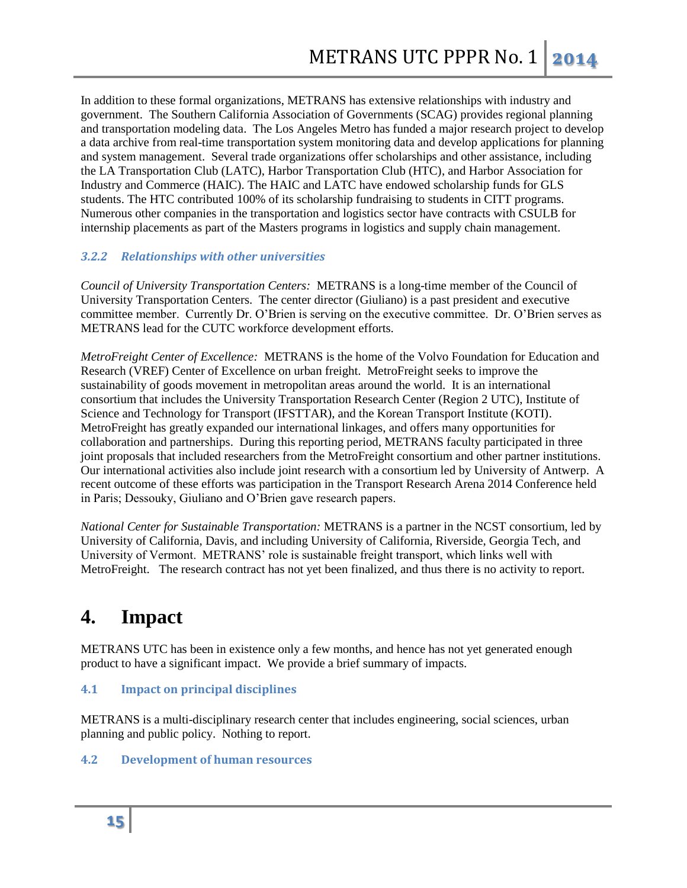In addition to these formal organizations, METRANS has extensive relationships with industry and government. The Southern California Association of Governments (SCAG) provides regional planning and transportation modeling data. The Los Angeles Metro has funded a major research project to develop a data archive from real-time transportation system monitoring data and develop applications for planning and system management. Several trade organizations offer scholarships and other assistance, including the LA Transportation Club (LATC), Harbor Transportation Club (HTC), and Harbor Association for Industry and Commerce (HAIC). The HAIC and LATC have endowed scholarship funds for GLS students. The HTC contributed 100% of its scholarship fundraising to students in CITT programs. Numerous other companies in the transportation and logistics sector have contracts with CSULB for internship placements as part of the Masters programs in logistics and supply chain management.

# *3.2.2 Relationships with other universities*

*Council of University Transportation Centers:* METRANS is a long-time member of the Council of University Transportation Centers. The center director (Giuliano) is a past president and executive committee member. Currently Dr. O'Brien is serving on the executive committee. Dr. O'Brien serves as METRANS lead for the CUTC workforce development efforts.

*MetroFreight Center of Excellence:* METRANS is the home of the Volvo Foundation for Education and Research (VREF) Center of Excellence on urban freight. MetroFreight seeks to improve the sustainability of goods movement in metropolitan areas around the world. It is an international consortium that includes the University Transportation Research Center (Region 2 UTC), Institute of Science and Technology for Transport (IFSTTAR), and the Korean Transport Institute (KOTI). MetroFreight has greatly expanded our international linkages, and offers many opportunities for collaboration and partnerships. During this reporting period, METRANS faculty participated in three joint proposals that included researchers from the MetroFreight consortium and other partner institutions. Our international activities also include joint research with a consortium led by University of Antwerp. A recent outcome of these efforts was participation in the Transport Research Arena 2014 Conference held in Paris; Dessouky, Giuliano and O'Brien gave research papers.

*National Center for Sustainable Transportation:* METRANS is a partner in the NCST consortium, led by University of California, Davis, and including University of California, Riverside, Georgia Tech, and University of Vermont. METRANS' role is sustainable freight transport, which links well with MetroFreight. The research contract has not yet been finalized, and thus there is no activity to report.

# **4. Impact**

METRANS UTC has been in existence only a few months, and hence has not yet generated enough product to have a significant impact. We provide a brief summary of impacts.

# **4.1 Impact on principal disciplines**

METRANS is a multi-disciplinary research center that includes engineering, social sciences, urban planning and public policy. Nothing to report.

# **4.2 Development of human resources**